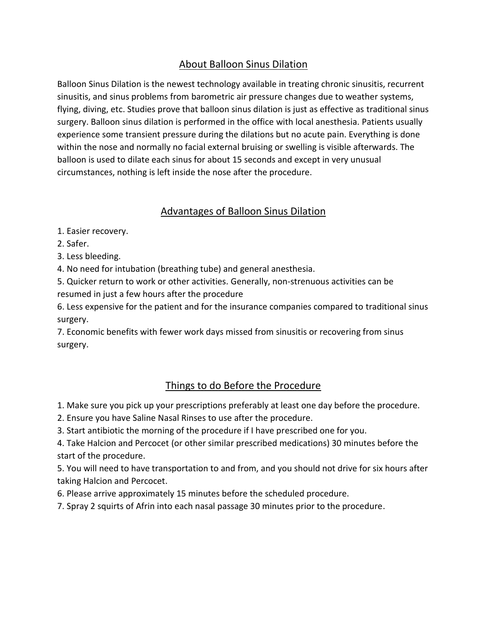# About Balloon Sinus Dilation

Balloon Sinus Dilation is the newest technology available in treating chronic sinusitis, recurrent sinusitis, and sinus problems from barometric air pressure changes due to weather systems, flying, diving, etc. Studies prove that balloon sinus dilation is just as effective as traditional sinus surgery. Balloon sinus dilation is performed in the office with local anesthesia. Patients usually experience some transient pressure during the dilations but no acute pain. Everything is done within the nose and normally no facial external bruising or swelling is visible afterwards. The balloon is used to dilate each sinus for about 15 seconds and except in very unusual circumstances, nothing is left inside the nose after the procedure.

### Advantages of Balloon Sinus Dilation

1. Easier recovery.

2. Safer.

3. Less bleeding.

4. No need for intubation (breathing tube) and general anesthesia.

5. Quicker return to work or other activities. Generally, non-strenuous activities can be resumed in just a few hours after the procedure

6. Less expensive for the patient and for the insurance companies compared to traditional sinus surgery.

7. Economic benefits with fewer work days missed from sinusitis or recovering from sinus surgery.

## Things to do Before the Procedure

1. Make sure you pick up your prescriptions preferably at least one day before the procedure.

- 2. Ensure you have Saline Nasal Rinses to use after the procedure.
- 3. Start antibiotic the morning of the procedure if I have prescribed one for you.

4. Take Halcion and Percocet (or other similar prescribed medications) 30 minutes before the start of the procedure.

5. You will need to have transportation to and from, and you should not drive for six hours after taking Halcion and Percocet.

6. Please arrive approximately 15 minutes before the scheduled procedure.

7. Spray 2 squirts of Afrin into each nasal passage 30 minutes prior to the procedure.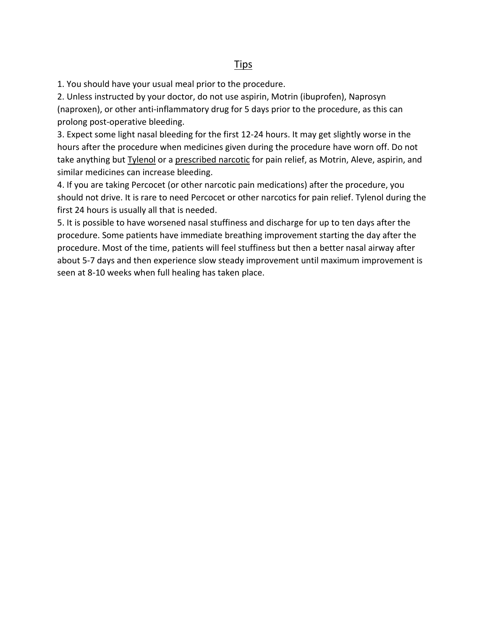#### Tips

1. You should have your usual meal prior to the procedure.

2. Unless instructed by your doctor, do not use aspirin, Motrin (ibuprofen), Naprosyn (naproxen), or other anti-inflammatory drug for 5 days prior to the procedure, as this can prolong post-operative bleeding.

3. Expect some light nasal bleeding for the first 12-24 hours. It may get slightly worse in the hours after the procedure when medicines given during the procedure have worn off. Do not take anything but Tylenol or a prescribed narcotic for pain relief, as Motrin, Aleve, aspirin, and similar medicines can increase bleeding.

4. If you are taking Percocet (or other narcotic pain medications) after the procedure, you should not drive. It is rare to need Percocet or other narcotics for pain relief. Tylenol during the first 24 hours is usually all that is needed.

5. It is possible to have worsened nasal stuffiness and discharge for up to ten days after the procedure. Some patients have immediate breathing improvement starting the day after the procedure. Most of the time, patients will feel stuffiness but then a better nasal airway after about 5-7 days and then experience slow steady improvement until maximum improvement is seen at 8-10 weeks when full healing has taken place.